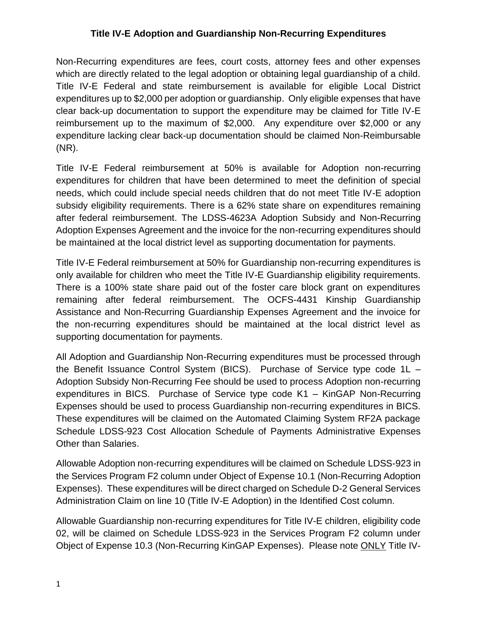## **Title IV-E Adoption and Guardianship Non-Recurring Expenditures**

Non-Recurring expenditures are fees, court costs, attorney fees and other expenses which are directly related to the legal adoption or obtaining legal guardianship of a child. Title IV-E Federal and state reimbursement is available for eligible Local District expenditures up to \$2,000 per adoption or guardianship. Only eligible expenses that have clear back-up documentation to support the expenditure may be claimed for Title IV-E reimbursement up to the maximum of \$2,000. Any expenditure over \$2,000 or any expenditure lacking clear back-up documentation should be claimed Non-Reimbursable (NR).

Title IV-E Federal reimbursement at 50% is available for Adoption non-recurring expenditures for children that have been determined to meet the definition of special needs, which could include special needs children that do not meet Title IV-E adoption subsidy eligibility requirements. There is a 62% state share on expenditures remaining after federal reimbursement. The LDSS-4623A Adoption Subsidy and Non-Recurring Adoption Expenses Agreement and the invoice for the non-recurring expenditures should be maintained at the local district level as supporting documentation for payments.

Title IV-E Federal reimbursement at 50% for Guardianship non-recurring expenditures is only available for children who meet the Title IV-E Guardianship eligibility requirements. There is a 100% state share paid out of the foster care block grant on expenditures remaining after federal reimbursement. The OCFS-4431 Kinship Guardianship Assistance and Non-Recurring Guardianship Expenses Agreement and the invoice for the non-recurring expenditures should be maintained at the local district level as supporting documentation for payments.

All Adoption and Guardianship Non-Recurring expenditures must be processed through the Benefit Issuance Control System (BICS). Purchase of Service type code 1L – Adoption Subsidy Non-Recurring Fee should be used to process Adoption non-recurring expenditures in BICS. Purchase of Service type code K1 – KinGAP Non-Recurring Expenses should be used to process Guardianship non-recurring expenditures in BICS. These expenditures will be claimed on the Automated Claiming System RF2A package Schedule LDSS-923 Cost Allocation Schedule of Payments Administrative Expenses Other than Salaries.

Allowable Adoption non-recurring expenditures will be claimed on Schedule LDSS-923 in the Services Program F2 column under Object of Expense 10.1 (Non-Recurring Adoption Expenses). These expenditures will be direct charged on Schedule D-2 General Services Administration Claim on line 10 (Title IV-E Adoption) in the Identified Cost column.

Allowable Guardianship non-recurring expenditures for Title IV-E children, eligibility code 02, will be claimed on Schedule LDSS-923 in the Services Program F2 column under Object of Expense 10.3 (Non-Recurring KinGAP Expenses). Please note ONLY Title IV-